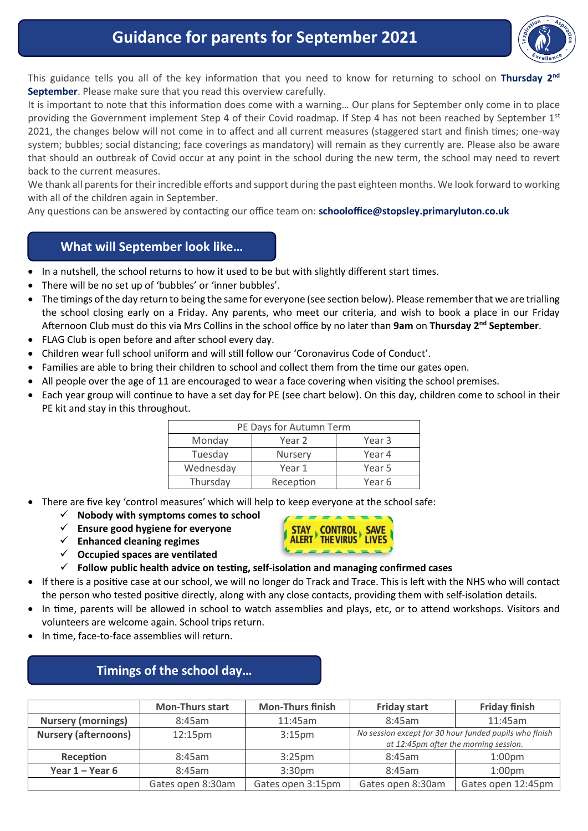# **Guidance for parents for September 2021**



This guidance tells you all of the key information that you need to know for returning to school on Thursday 2<sup>nd</sup> **September**. Please make sure that you read this overview carefully.

It is important to note that this information does come with a warning… Our plans for September only come in to place providing the Government implement Step 4 of their Covid roadmap. If Step 4 has not been reached by September 1st 2021, the changes below will not come in to affect and all current measures (staggered start and finish times; one-way system; bubbles; social distancing; face coverings as mandatory) will remain as they currently are. Please also be aware that should an outbreak of Covid occur at any point in the school during the new term, the school may need to revert back to the current measures.

We thank all parents for their incredible efforts and support during the past eighteen months. We look forward to working with all of the children again in September.

Any questions can be answered by contacting our office team on: **[schooloffice@stopsley.primaryluton.co.uk](mailto:schooloffice@stopsley.primaryluton.co.uk)**

## **What will September look like…**

- In a nutshell, the school returns to how it used to be but with slightly different start times.
- There will be no set up of 'bubbles' or 'inner bubbles'.
- The timings of the day return to being the same for everyone (see section below). Please remember that we are trialling the school closing early on a Friday. Any parents, who meet our criteria, and wish to book a place in our Friday Afternoon Club must do this via Mrs Collins in the school office by no later than **9am** on **Thursday 2nd September**.
- FLAG Club is open before and after school every day.
- Children wear full school uniform and will still follow our 'Coronavirus Code of Conduct'.
- Families are able to bring their children to school and collect them from the time our gates open.
- All people over the age of 11 are encouraged to wear a face covering when visiting the school premises.
- Each year group will continue to have a set day for PE (see chart below). On this day, children come to school in their PE kit and stay in this throughout.

| PE Days for Autumn Term |                |        |  |  |  |
|-------------------------|----------------|--------|--|--|--|
| Monday                  | Year 2         | Year 3 |  |  |  |
| Tuesday                 | <b>Nursery</b> | Year 4 |  |  |  |
| Wednesday               | Year 1         | Year 5 |  |  |  |
| Thursday                | Reception      | Year 6 |  |  |  |

- There are five key 'control measures' which will help to keep everyone at the school safe:
	- **Nobody with symptoms comes to school**
	- **Ensure good hygiene for everyone**
	- **Enhanced cleaning regimes**
	- **Occupied spaces are ventilated**



- **Follow public health advice on testing, self-isolation and managing confirmed cases**
- If there is a positive case at our school, we will no longer do Track and Trace. This is left with the NHS who will contact the person who tested positive directly, along with any close contacts, providing them with self-isolation details.
- In time, parents will be allowed in school to watch assemblies and plays, etc, or to attend workshops. Visitors and volunteers are welcome again. School trips return.
- In time, face-to-face assemblies will return.

## **Timings of the school day… …**

|                             | <b>Mon-Thurs start</b> | <b>Mon-Thurs finish</b> | <b>Friday start</b>                                                                             | <b>Friday finish</b> |
|-----------------------------|------------------------|-------------------------|-------------------------------------------------------------------------------------------------|----------------------|
| <b>Nursery (mornings)</b>   | 8:45am                 | 11:45am                 | 8:45am                                                                                          | 11:45am              |
| <b>Nursery (afternoons)</b> | 12:15 <sub>pm</sub>    | 3:15 <sub>pm</sub>      | No session except for 30 hour funded pupils who finish<br>at 12:45pm after the morning session. |                      |
| Reception                   | 8:45am                 | $3:25$ pm               | 8:45am                                                                                          | 1:00 <sub>pm</sub>   |
| Year $1 -$ Year 6           | 8:45am                 | 3:30 <sub>pm</sub>      | 8:45am                                                                                          | 1:00 <sub>pm</sub>   |
|                             | Gates open 8:30am      | Gates open 3:15pm       | Gates open 8:30am                                                                               | Gates open 12:45pm   |